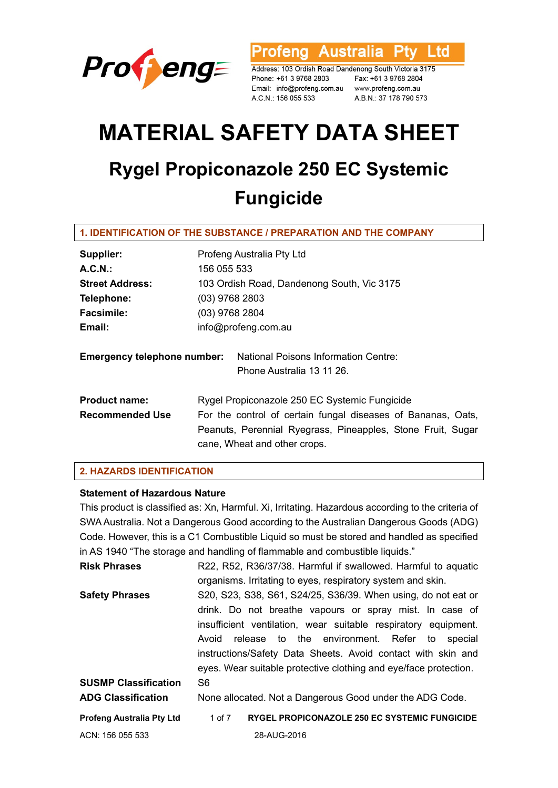

**Australia** Ptv Ltd rofena

Address: 103 Ordish Road Dandenong South Victoria 3175 Phone: +61 3 9768 2803 Email: info@profeng.com.au www.profeng.com.au A.C.N.: 156 055 533

Fax: +61 3 9768 2804 A.B.N.: 37 178 790 573

# **MATERIAL SAFETY DATA SHEET Rygel Propiconazole 250 EC Systemic Fungicide**

#### **1. IDENTIFICATION OF THE SUBSTANCE / PREPARATION AND THE COMPANY**

| Supplier:                          | Profeng Australia Pty Ltd                                         |  |  |
|------------------------------------|-------------------------------------------------------------------|--|--|
| A.C.N.                             | 156 055 533                                                       |  |  |
| <b>Street Address:</b>             | 103 Ordish Road, Dandenong South, Vic 3175                        |  |  |
| Telephone:                         | $(03)$ 9768 2803                                                  |  |  |
| <b>Facsimile:</b>                  | $(03)$ 9768 2804                                                  |  |  |
| Email:                             | info@profeng.com.au                                               |  |  |
| <b>Emergency telephone number:</b> | National Poisons Information Centre:<br>Phone Australia 13 11 26. |  |  |
| <b>Product name:</b>               | Rygel Propiconazole 250 EC Systemic Fungicide                     |  |  |
| <b>Recommended Use</b>             | For the control of certain fungal diseases of Bananas, Oats,      |  |  |
|                                    | Peanuts, Perennial Ryegrass, Pineapples, Stone Fruit, Sugar       |  |  |
|                                    | cane, Wheat and other crops.                                      |  |  |

#### **2. HAZARDS IDENTIFICATION**

#### **Statement of Hazardous Nature**

This product is classified as: Xn, Harmful. Xi, Irritating. Hazardous according to the criteria of SWA Australia. Not a Dangerous Good according to the Australian Dangerous Goods (ADG) Code. However, this is a C1 Combustible Liquid so must be stored and handled as specified in AS 1940 "The storage and handling of flammable and combustible liquids."

| <b>Risk Phrases</b>              | R22, R52, R36/37/38. Harmful if swallowed. Harmful to aquatic    |
|----------------------------------|------------------------------------------------------------------|
|                                  | organisms. Irritating to eyes, respiratory system and skin.      |
| <b>Safety Phrases</b>            | S20, S23, S38, S61, S24/25, S36/39. When using, do not eat or    |
|                                  | drink. Do not breathe vapours or spray mist. In case of          |
|                                  | insufficient ventilation, wear suitable respiratory equipment.   |
|                                  | release to the environment. Refer to<br>Avoid<br>special         |
|                                  | instructions/Safety Data Sheets. Avoid contact with skin and     |
|                                  | eyes. Wear suitable protective clothing and eye/face protection. |
| <b>SUSMP Classification</b>      | S <sub>6</sub>                                                   |
| <b>ADG Classification</b>        | None allocated. Not a Dangerous Good under the ADG Code.         |
| <b>Profeng Australia Pty Ltd</b> | <b>RYGEL PROPICONAZOLE 250 EC SYSTEMIC FUNGICIDE</b><br>1 of 7   |
| ACN: 156 055 533                 | 28-AUG-2016                                                      |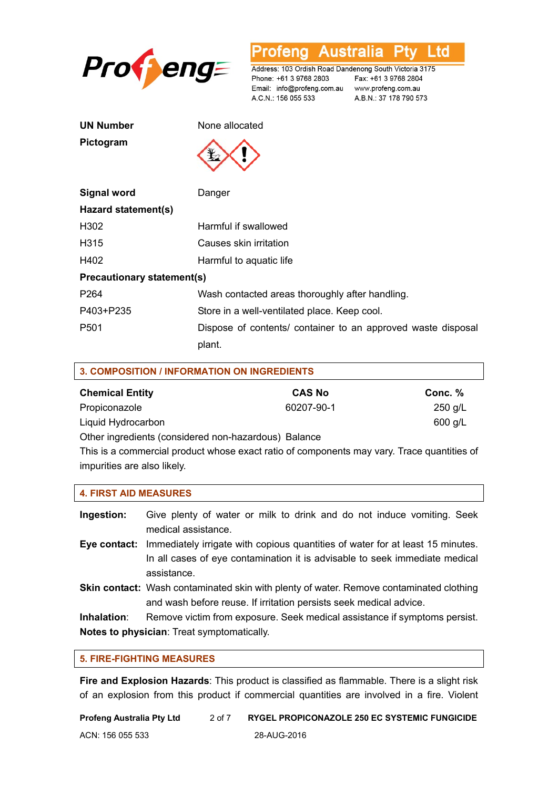

rofeng **Australia** Ptv Ltd

Address: 103 Ordish Road Dandenong South Victoria 3175 Phone: +61 3 9768 2803 Email: info@profeng.com.au www.profeng.com.au A.C.N.: 156 055 533

Fax: +61 3 9768 2804 A.B.N.: 37 178 790 573

| UN Number |  |
|-----------|--|
| Pictogram |  |

**None allocated** 

**Pictogram** 



| Signal word                       | Danger                                                       |  |
|-----------------------------------|--------------------------------------------------------------|--|
| Hazard statement(s)               |                                                              |  |
| H302                              | Harmful if swallowed                                         |  |
| H315                              | Causes skin irritation                                       |  |
| H402                              | Harmful to aquatic life                                      |  |
| <b>Precautionary statement(s)</b> |                                                              |  |
| P <sub>264</sub>                  | Wash contacted areas thoroughly after handling.              |  |
| P403+P235                         | Store in a well-ventilated place. Keep cool.                 |  |
| P <sub>501</sub>                  | Dispose of contents/ container to an approved waste disposal |  |

plant.

| <b>3. COMPOSITION / INFORMATION ON INGREDIENTS</b>   |               |           |
|------------------------------------------------------|---------------|-----------|
| <b>Chemical Entity</b>                               | <b>CAS No</b> | Conc. %   |
| Propiconazole                                        | 60207-90-1    | $250$ g/L |
| Liquid Hydrocarbon                                   |               | $600$ g/L |
| Other ingredients (considered non-hazardous) Balance |               |           |

This is a commercial product whose exact ratio of components may vary. Trace quantities of impurities are also likely.

| <b>4. FIRST AID MEASURES</b>                      |                                                                                                                                                                              |
|---------------------------------------------------|------------------------------------------------------------------------------------------------------------------------------------------------------------------------------|
| Ingestion:                                        | Give plenty of water or milk to drink and do not induce vomiting. Seek<br>medical assistance.                                                                                |
| Eye contact:                                      | Immediately irrigate with copious quantities of water for at least 15 minutes.<br>In all cases of eye contamination it is advisable to seek immediate medical<br>assistance. |
|                                                   | <b>Skin contact:</b> Wash contaminated skin with plenty of water. Remove contaminated clothing<br>and wash before reuse. If irritation persists seek medical advice.         |
| Inhalation:                                       | Remove victim from exposure. Seek medical assistance if symptoms persist.                                                                                                    |
| <b>Notes to physician:</b> Treat symptomatically. |                                                                                                                                                                              |

## **5. FIRE-FIGHTING MEASURES**

**Fire and Explosion Hazards**: This product is classified as flammable. There is a slight risk of an explosion from this product if commercial quantities are involved in a fire. Violent

| Profeng Australia Pty Ltd | 2 of 7 | RYGEL PROPICONAZOLE 250 EC SYSTEMIC FUNGICIDE |
|---------------------------|--------|-----------------------------------------------|
| ACN: 156 055 533          |        | 28-AUG-2016                                   |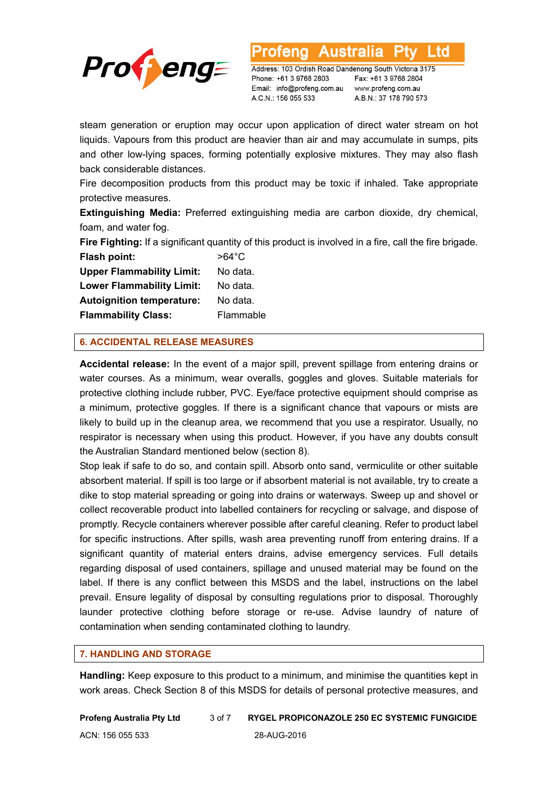

Australia L to

Address: 103 Ordish Road Dandenong South Victoria 3175 Phone: +61 3 9768 2803 Email: info@profeng.com.au www.profeng.com.au A.C.N.: 156 055 533

Fax: +61 3 9768 2804 A.B.N.: 37 178 790 573

steam generation or eruption may occur upon application of direct water stream on hot liquids. Vapours from this product are heavier than air and may accumulate in sumps, pits and other low-lying spaces, forming potentially explosive mixtures. They may also flash back considerable distances.

Fire decomposition products from this product may be toxic if inhaled. Take appropriate protective measures.

**Extinguishing Media:** Preferred extinguishing media are carbon dioxide, dry chemical, foam, and water fog.

**Fire Fighting:** If a significant quantity of this product is involved in a fire, call the fire brigade.

**Flash point:** >64°C **Upper Flammability Limit:** No data. **Lower Flammability Limit:** No data. **Autoignition temperature:** No data. **Flammability Class:** Flammable

## **6. ACCIDENTAL RELEASE MEASURES**

**Accidental release:** In the event of a major spill, prevent spillage from entering drains or water courses. As a minimum, wear overalls, goggles and gloves. Suitable materials for protective clothing include rubber, PVC. Eye/face protective equipment should comprise as a minimum, protective goggles. If there is a significant chance that vapours or mists are likely to build up in the cleanup area, we recommend that you use a respirator. Usually, no respirator is necessary when using this product. However, if you have any doubts consult the Australian Standard mentioned below (section 8).

Stop leak if safe to do so, and contain spill. Absorb onto sand, vermiculite or other suitable absorbent material. If spill is too large or if absorbent material is not available, try to create a dike to stop material spreading or going into drains or waterways. Sweep up and shovel or collect recoverable product into labelled containers for recycling or salvage, and dispose of promptly. Recycle containers wherever possible after careful cleaning. Refer to product label for specific instructions. After spills, wash area preventing runoff from entering drains. If a significant quantity of material enters drains, advise emergency services. Full details regarding disposal of used containers, spillage and unused material may be found on the label. If there is any conflict between this MSDS and the label, instructions on the label prevail. Ensure legality of disposal by consulting regulations prior to disposal. Thoroughly launder protective clothing before storage or re-use. Advise laundry of nature of contamination when sending contaminated clothing to laundry.

#### **7. HANDLING AND STORAGE**

**Handling:** Keep exposure to this product to a minimum, and minimise the quantities kept in work areas. Check Section 8 of this MSDS for details of personal protective measures, and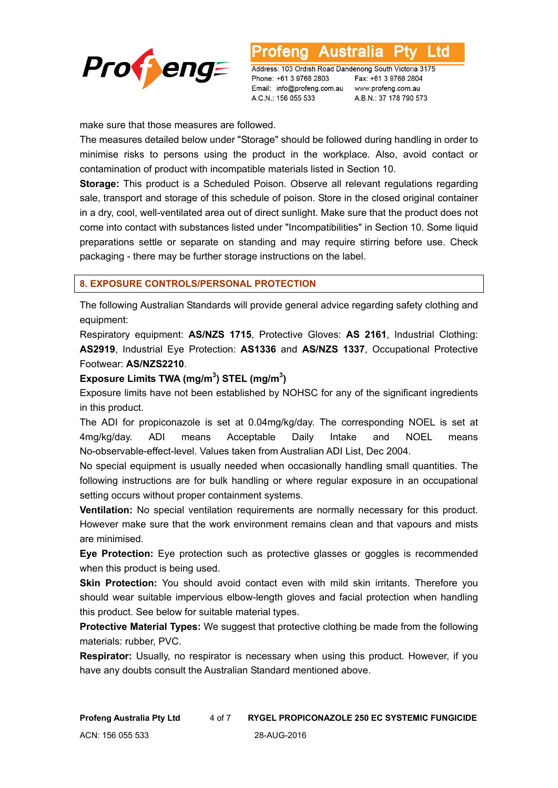

Australia ∟td

Address: 103 Ordish Road Dandenong South Victoria 3175 Phone: +61 3 9768 2803 Email: info@profeng.com.au www.profeng.com.au A.C.N.: 156 055 533

Fax: +61 3 9768 2804 A.B.N.: 37 178 790 573

make sure that those measures are followed.

The measures detailed below under "Storage" should be followed during handling in order to minimise risks to persons using the product in the workplace. Also, avoid contact or contamination of product with incompatible materials listed in Section 10.

**Storage:** This product is a Scheduled Poison. Observe all relevant regulations regarding sale, transport and storage of this schedule of poison. Store in the closed original container in a dry, cool, well-ventilated area out of direct sunlight. Make sure that the product does not come into contact with substances listed under "Incompatibilities" in Section 10. Some liquid preparations settle or separate on standing and may require stirring before use. Check packaging - there may be further storage instructions on the label.

#### **8. EXPOSURE CONTROLS/PERSONAL PROTECTION**

The following Australian Standards will provide general advice regarding safety clothing and equipment:

Respiratory equipment: **AS/NZS 1715**, Protective Gloves: **AS 2161**, Industrial Clothing: **AS2919**, Industrial Eye Protection: **AS1336** and **AS/NZS 1337**, Occupational Protective Footwear: **AS/NZS2210**.

#### **Exposure Limits TWA (mg/m<sup>3</sup> ) STEL (mg/m<sup>3</sup> )**

Exposure limits have not been established by NOHSC for any of the significant ingredients in this product.

The ADI for propiconazole is set at 0.04mg/kg/day. The corresponding NOEL is set at 4mg/kg/day. ADI means Acceptable Daily Intake and NOEL means No-observable-effect-level. Values taken from Australian ADI List, Dec 2004.

No special equipment is usually needed when occasionally handling small quantities. The following instructions are for bulk handling or where regular exposure in an occupational setting occurs without proper containment systems.

**Ventilation:** No special ventilation requirements are normally necessary for this product. However make sure that the work environment remains clean and that vapours and mists are minimised.

**Eye Protection:** Eye protection such as protective glasses or goggles is recommended when this product is being used.

**Skin Protection:** You should avoid contact even with mild skin irritants. Therefore you should wear suitable impervious elbow-length gloves and facial protection when handling this product. See below for suitable material types.

**Protective Material Types:** We suggest that protective clothing be made from the following materials: rubber, PVC.

**Respirator:** Usually, no respirator is necessary when using this product. However, if you have any doubts consult the Australian Standard mentioned above.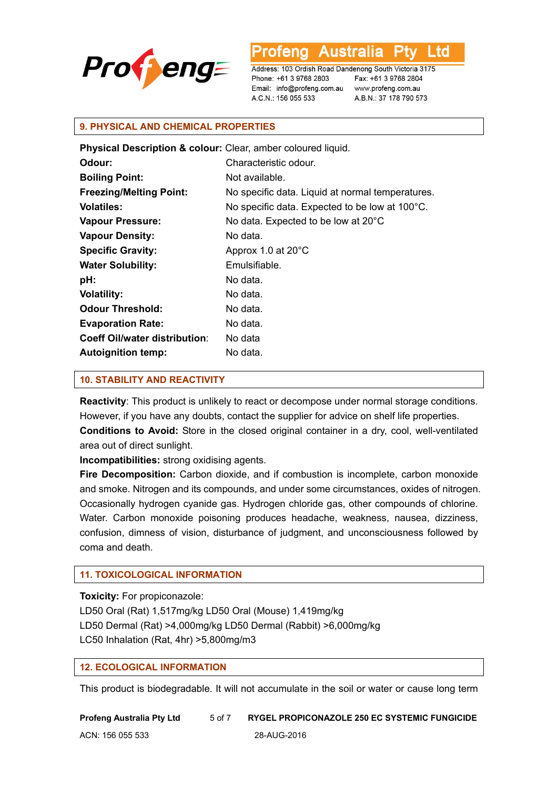

Australia ∟td

Address: 103 Ordish Road Dandenong South Victoria 3175 Phone: +61 3 9768 2803 Email: info@profeng.com.au www.profeng.com.au A.C.N.: 156 055 533

Fax: +61 3 9768 2804 A.B.N.: 37 178 790 573

#### **9. PHYSICAL AND CHEMICAL PROPERTIES**

| Physical Description & colour: Clear, amber coloured liquid. |                                                  |
|--------------------------------------------------------------|--------------------------------------------------|
| Odour:                                                       | Characteristic odour.                            |
| <b>Boiling Point:</b>                                        | Not available.                                   |
| <b>Freezing/Melting Point:</b>                               | No specific data. Liquid at normal temperatures. |
| <b>Volatiles:</b>                                            | No specific data. Expected to be low at 100°C.   |
| <b>Vapour Pressure:</b>                                      | No data. Expected to be low at 20°C              |
| <b>Vapour Density:</b>                                       | No data.                                         |
| <b>Specific Gravity:</b>                                     | Approx 1.0 at 20°C                               |
| <b>Water Solubility:</b>                                     | Emulsifiable.                                    |
| pH:                                                          | No data.                                         |
| <b>Volatility:</b>                                           | No data.                                         |
| <b>Odour Threshold:</b>                                      | No data.                                         |
| <b>Evaporation Rate:</b>                                     | No data.                                         |
| <b>Coeff Oil/water distribution:</b>                         | No data                                          |
| <b>Autoignition temp:</b>                                    | No data.                                         |

#### **10. STABILITY AND REACTIVITY**

**Reactivity**: This product is unlikely to react or decompose under normal storage conditions. However, if you have any doubts, contact the supplier for advice on shelf life properties. **Conditions to Avoid:** Store in the closed original container in a dry, cool, well-ventilated area out of direct sunlight.

**Incompatibilities:** strong oxidising agents.

**Fire Decomposition:** Carbon dioxide, and if combustion is incomplete, carbon monoxide and smoke. Nitrogen and its compounds, and under some circumstances, oxides of nitrogen. Occasionally hydrogen cyanide gas. Hydrogen chloride gas, other compounds of chlorine. Water. Carbon monoxide poisoning produces headache, weakness, nausea, dizziness, confusion, dimness of vision, disturbance of judgment, and unconsciousness followed by coma and death.

## **11. TOXICOLOGICAL INFORMATION**

**Toxicity:** For propiconazole:

LD50 Oral (Rat) 1,517mg/kg LD50 Oral (Mouse) 1,419mg/kg LD50 Dermal (Rat) >4,000mg/kg LD50 Dermal (Rabbit) >6,000mg/kg LC50 Inhalation (Rat, 4hr) >5,800mg/m3

## **12. ECOLOGICAL INFORMATION**

This product is biodegradable. It will not accumulate in the soil or water or cause long term

**Profeng Australia Pty Ltd** 5 of 7 **RYGEL PROPICONAZOLE 250 EC SYSTEMIC FUNGICIDE** ACN: 156 055 533 28-AUG-2016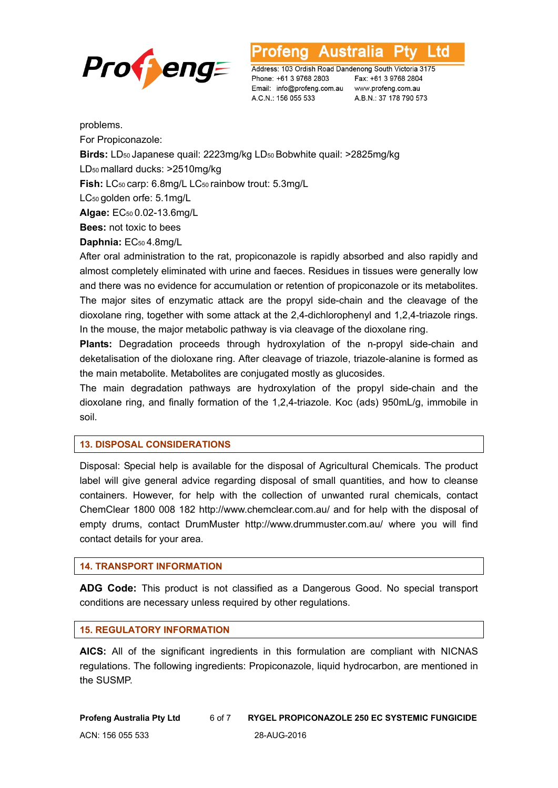

∟td

Address: 103 Ordish Road Dandenong South Victoria 3175 Phone: +61 3 9768 2803 Email: info@profeng.com.au www.profeng.com.au A.C.N.: 156 055 533

Fax: +61 3 9768 2804 A.B.N.: 37 178 790 573

problems.

For Propiconazole:

**Birds:** LD50 Japanese quail: 2223mg/kg LD50 Bobwhite quail: >2825mg/kg

LD50 mallard ducks: >2510mg/kg

**Fish:** LC50 carp: 6.8mg/L LC50 rainbow trout: 5.3mg/L

LC50 golden orfe: 5.1mg/L

**Algae:** EC50 0.02-13.6mg/L

**Bees:** not toxic to bees

**Daphnia:** EC50 4.8mg/L

After oral administration to the rat, propiconazole is rapidly absorbed and also rapidly and almost completely eliminated with urine and faeces. Residues in tissues were generally low and there was no evidence for accumulation or retention of propiconazole or its metabolites. The major sites of enzymatic attack are the propyl side-chain and the cleavage of the dioxolane ring, together with some attack at the 2,4-dichlorophenyl and 1,2,4-triazole rings. In the mouse, the major metabolic pathway is via cleavage of the dioxolane ring.

**Plants:** Degradation proceeds through hydroxylation of the n-propyl side-chain and deketalisation of the dioloxane ring. After cleavage of triazole, triazole-alanine is formed as the main metabolite. Metabolites are conjugated mostly as glucosides.

The main degradation pathways are hydroxylation of the propyl side-chain and the dioxolane ring, and finally formation of the 1,2,4-triazole. Koc (ads) 950mL/g, immobile in soil.

## **13. DISPOSAL CONSIDERATIONS**

Disposal: Special help is available for the disposal of Agricultural Chemicals. The product label will give general advice regarding disposal of small quantities, and how to cleanse containers. However, for help with the collection of unwanted rural chemicals, contact ChemClear 1800 008 182 http://www.chemclear.com.au/ and for help with the disposal of empty drums, contact DrumMuster http://www.drummuster.com.au/ where you will find contact details for your area.

#### **14. TRANSPORT INFORMATION**

**ADG Code:** This product is not classified as a Dangerous Good. No special transport conditions are necessary unless required by other regulations.

#### **15. REGULATORY INFORMATION**

**AICS:** All of the significant ingredients in this formulation are compliant with NICNAS regulations. The following ingredients: Propiconazole, liquid hydrocarbon, are mentioned in the SUSMP.